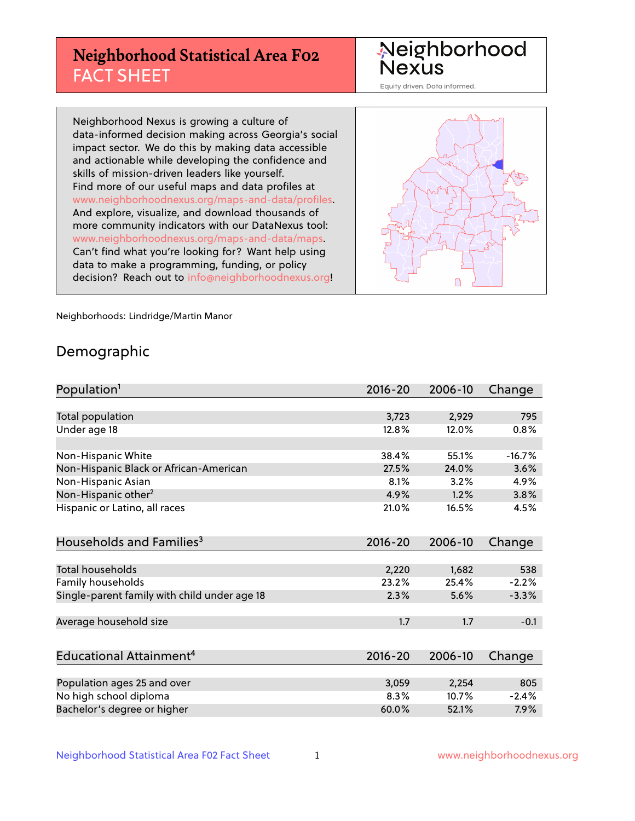# **Neighborhood Statistical Area F02** FACT SHEET

Neighborhood Nexus

Equity driven. Data informed.

Neighborhood Nexus is growing a culture of data-informed decision making across Georgia's social impact sector. We do this by making data accessible and actionable while developing the confidence and skills of mission-driven leaders like yourself. Find more of our useful maps and data profiles at www.neighborhoodnexus.org/maps-and-data/profiles. And explore, visualize, and download thousands of more community indicators with our DataNexus tool: www.neighborhoodnexus.org/maps-and-data/maps. Can't find what you're looking for? Want help using data to make a programming, funding, or policy decision? Reach out to [info@neighborhoodnexus.org!](mailto:info@neighborhoodnexus.org)



Neighborhoods: Lindridge/Martin Manor

### Demographic

| Population <sup>1</sup>                      | $2016 - 20$ | 2006-10 | Change   |
|----------------------------------------------|-------------|---------|----------|
|                                              |             |         |          |
| <b>Total population</b>                      | 3,723       | 2,929   | 795      |
| Under age 18                                 | 12.8%       | 12.0%   | 0.8%     |
|                                              |             |         |          |
| Non-Hispanic White                           | 38.4%       | 55.1%   | $-16.7%$ |
| Non-Hispanic Black or African-American       | 27.5%       | 24.0%   | 3.6%     |
| Non-Hispanic Asian                           | 8.1%        | 3.2%    | 4.9%     |
| Non-Hispanic other <sup>2</sup>              | 4.9%        | 1.2%    | 3.8%     |
| Hispanic or Latino, all races                | 21.0%       | 16.5%   | 4.5%     |
|                                              |             |         |          |
| Households and Families <sup>3</sup>         | $2016 - 20$ | 2006-10 | Change   |
|                                              |             |         |          |
| Total households                             | 2,220       | 1,682   | 538      |
| Family households                            | 23.2%       | 25.4%   | $-2.2%$  |
| Single-parent family with child under age 18 | 2.3%        | 5.6%    | $-3.3%$  |
|                                              |             |         |          |
| Average household size                       | 1.7         | 1.7     | $-0.1$   |
|                                              |             |         |          |
| Educational Attainment <sup>4</sup>          | 2016-20     | 2006-10 | Change   |
|                                              |             |         |          |
| Population ages 25 and over                  | 3,059       | 2,254   | 805      |
| No high school diploma                       | 8.3%        | 10.7%   | $-2.4%$  |
| Bachelor's degree or higher                  | 60.0%       | 52.1%   | 7.9%     |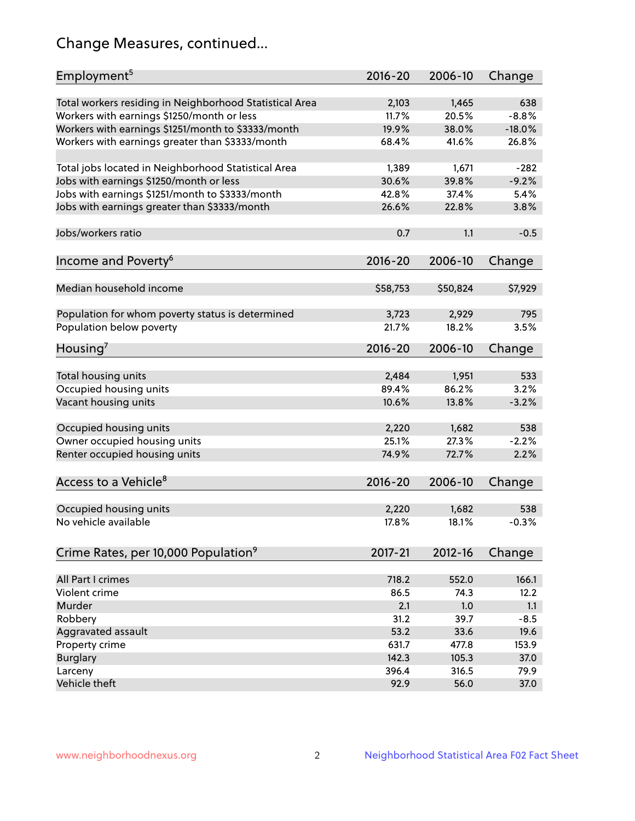# Change Measures, continued...

| Employment <sup>5</sup>                                                                               | $2016 - 20$    | 2006-10        | Change   |
|-------------------------------------------------------------------------------------------------------|----------------|----------------|----------|
|                                                                                                       |                |                | 638      |
| Total workers residing in Neighborhood Statistical Area                                               | 2,103<br>11.7% | 1,465<br>20.5% | $-8.8%$  |
| Workers with earnings \$1250/month or less                                                            | 19.9%          | 38.0%          | $-18.0%$ |
| Workers with earnings \$1251/month to \$3333/month<br>Workers with earnings greater than \$3333/month | 68.4%          | 41.6%          | 26.8%    |
|                                                                                                       |                |                |          |
| Total jobs located in Neighborhood Statistical Area                                                   | 1,389          | 1,671          | $-282$   |
| Jobs with earnings \$1250/month or less                                                               | 30.6%          | 39.8%          | $-9.2%$  |
| Jobs with earnings \$1251/month to \$3333/month                                                       | 42.8%          | 37.4%          | 5.4%     |
| Jobs with earnings greater than \$3333/month                                                          | 26.6%          | 22.8%          | 3.8%     |
|                                                                                                       |                |                |          |
| Jobs/workers ratio                                                                                    | 0.7            | 1.1            | $-0.5$   |
|                                                                                                       |                |                |          |
| Income and Poverty <sup>6</sup>                                                                       | $2016 - 20$    | 2006-10        | Change   |
|                                                                                                       |                |                |          |
| Median household income                                                                               | \$58,753       | \$50,824       | \$7,929  |
|                                                                                                       |                |                | 795      |
| Population for whom poverty status is determined                                                      | 3,723<br>21.7% | 2,929<br>18.2% | 3.5%     |
| Population below poverty                                                                              |                |                |          |
| Housing <sup>7</sup>                                                                                  | $2016 - 20$    | 2006-10        | Change   |
|                                                                                                       |                |                |          |
| Total housing units                                                                                   | 2,484          | 1,951          | 533      |
| Occupied housing units                                                                                | 89.4%          | 86.2%          | 3.2%     |
| Vacant housing units                                                                                  | 10.6%          | 13.8%          | $-3.2%$  |
|                                                                                                       |                |                |          |
| Occupied housing units                                                                                | 2,220          | 1,682          | 538      |
| Owner occupied housing units                                                                          | 25.1%          | 27.3%          | $-2.2%$  |
| Renter occupied housing units                                                                         | 74.9%          | 72.7%          | 2.2%     |
|                                                                                                       |                |                |          |
| Access to a Vehicle <sup>8</sup>                                                                      | $2016 - 20$    | 2006-10        | Change   |
|                                                                                                       |                |                |          |
| Occupied housing units                                                                                | 2,220          | 1,682          | 538      |
| No vehicle available                                                                                  | 17.8%          | 18.1%          | $-0.3%$  |
| Crime Rates, per 10,000 Population <sup>9</sup>                                                       | $2017 - 21$    | 2012-16        | Change   |
|                                                                                                       |                |                |          |
| All Part I crimes                                                                                     | 718.2          | 552.0          | 166.1    |
| Violent crime                                                                                         | 86.5           | 74.3           | 12.2     |
| Murder                                                                                                | 2.1            | 1.0            | 1.1      |
| Robbery                                                                                               | 31.2           | 39.7           | $-8.5$   |
| Aggravated assault                                                                                    | 53.2           | 33.6           | 19.6     |
| Property crime                                                                                        | 631.7          | 477.8          | 153.9    |
| <b>Burglary</b>                                                                                       | 142.3          | 105.3          | 37.0     |
| Larceny                                                                                               | 396.4          | 316.5          | 79.9     |
| Vehicle theft                                                                                         | 92.9           | 56.0           | 37.0     |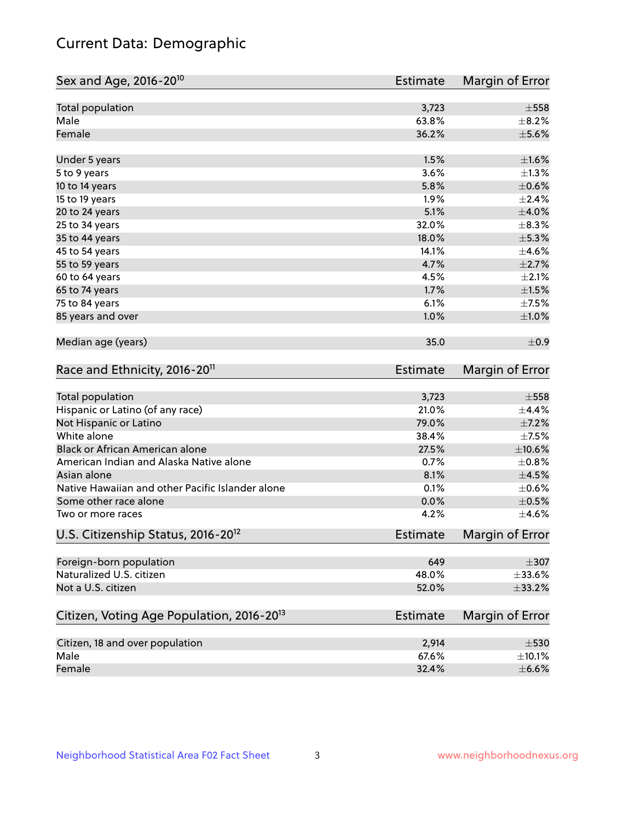# Current Data: Demographic

| Sex and Age, 2016-20 <sup>10</sup>                    | <b>Estimate</b> | Margin of Error |
|-------------------------------------------------------|-----------------|-----------------|
| Total population                                      | 3,723           | $\pm 558$       |
| Male                                                  | 63.8%           | $\pm$ 8.2%      |
| Female                                                | 36.2%           | $\pm$ 5.6%      |
| Under 5 years                                         | 1.5%            | $\pm1.6\%$      |
| 5 to 9 years                                          | 3.6%            | $\pm$ 1.3%      |
| 10 to 14 years                                        | 5.8%            | $\pm$ 0.6%      |
| 15 to 19 years                                        | 1.9%            | ±2.4%           |
| 20 to 24 years                                        | 5.1%            | $\pm 4.0\%$     |
| 25 to 34 years                                        | 32.0%           | $\pm$ 8.3%      |
| 35 to 44 years                                        | 18.0%           | $\pm$ 5.3%      |
| 45 to 54 years                                        | 14.1%           | $\pm 4.6\%$     |
| 55 to 59 years                                        | 4.7%            | $\pm 2.7\%$     |
| 60 to 64 years                                        | 4.5%            | $\pm 2.1\%$     |
| 65 to 74 years                                        | 1.7%            | $\pm 1.5\%$     |
| 75 to 84 years                                        | 6.1%            | $\pm$ 7.5%      |
| 85 years and over                                     | 1.0%            | ±1.0%           |
| Median age (years)                                    | 35.0            | ±0.9            |
| Race and Ethnicity, 2016-20 <sup>11</sup>             | <b>Estimate</b> | Margin of Error |
| Total population                                      | 3,723           | $\pm$ 558       |
| Hispanic or Latino (of any race)                      | 21.0%           | ±4.4%           |
| Not Hispanic or Latino                                | 79.0%           | $\pm$ 7.2%      |
| White alone                                           | 38.4%           | $\pm$ 7.5%      |
| Black or African American alone                       | 27.5%           | $\pm 10.6\%$    |
| American Indian and Alaska Native alone               | 0.7%            | $\pm$ 0.8%      |
| Asian alone                                           | 8.1%            | $\pm 4.5\%$     |
| Native Hawaiian and other Pacific Islander alone      | 0.1%            | $\pm$ 0.6%      |
| Some other race alone                                 | 0.0%            | $\pm$ 0.5%      |
| Two or more races                                     | 4.2%            | $\pm 4.6\%$     |
| U.S. Citizenship Status, 2016-20 <sup>12</sup>        | <b>Estimate</b> | Margin of Error |
| Foreign-born population                               | 649             | $\pm 307$       |
| Naturalized U.S. citizen                              | 48.0%           | $\pm$ 33.6%     |
| Not a U.S. citizen                                    | 52.0%           | ±33.2%          |
| Citizen, Voting Age Population, 2016-20 <sup>13</sup> | <b>Estimate</b> | Margin of Error |
| Citizen, 18 and over population                       | 2,914           | $\pm 530$       |
| Male                                                  | 67.6%           | $\pm$ 10.1%     |
| Female                                                | 32.4%           | $\pm$ 6.6%      |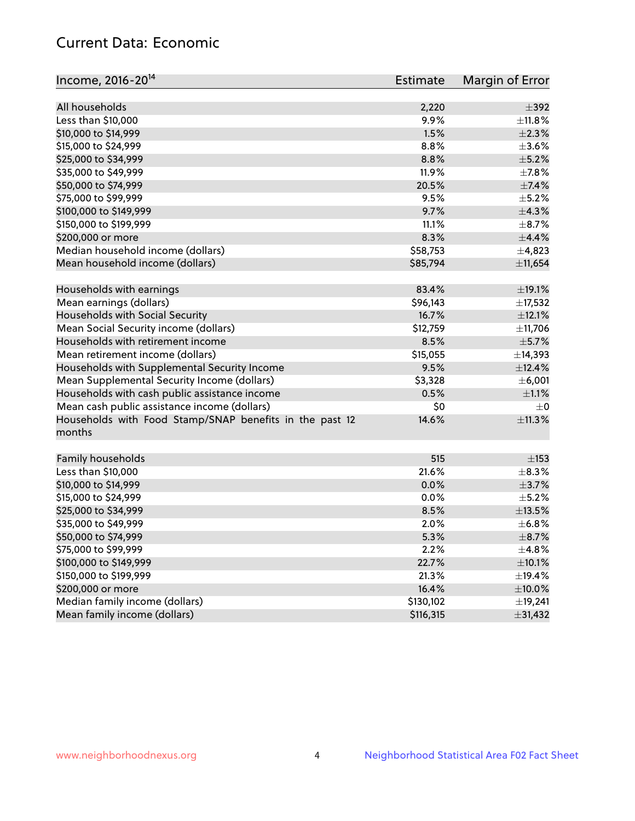# Current Data: Economic

| Income, 2016-20 <sup>14</sup>                                                                 | Estimate  | Margin of Error |
|-----------------------------------------------------------------------------------------------|-----------|-----------------|
|                                                                                               |           |                 |
| All households                                                                                | 2,220     | $\pm$ 392       |
| Less than \$10,000                                                                            | 9.9%      | ±11.8%          |
| \$10,000 to \$14,999                                                                          | 1.5%      | $\pm 2.3\%$     |
| \$15,000 to \$24,999                                                                          | 8.8%      | $\pm 3.6\%$     |
| \$25,000 to \$34,999                                                                          | 8.8%      | $\pm$ 5.2%      |
| \$35,000 to \$49,999                                                                          | 11.9%     | ±7.8%           |
| \$50,000 to \$74,999                                                                          | 20.5%     | $\pm$ 7.4%      |
| \$75,000 to \$99,999                                                                          | 9.5%      | $\pm$ 5.2%      |
| \$100,000 to \$149,999                                                                        | 9.7%      | $\pm$ 4.3%      |
| \$150,000 to \$199,999                                                                        | 11.1%     | $\pm$ 8.7%      |
| \$200,000 or more                                                                             | 8.3%      | ±4.4%           |
| Median household income (dollars)                                                             | \$58,753  | $\pm$ 4,823     |
| Mean household income (dollars)                                                               | \$85,794  | ±11,654         |
| Households with earnings                                                                      | 83.4%     | ±19.1%          |
| Mean earnings (dollars)                                                                       | \$96,143  | ±17,532         |
| Households with Social Security                                                               | 16.7%     | ±12.1%          |
| Mean Social Security income (dollars)                                                         | \$12,759  | ±11,706         |
| Households with retirement income                                                             | 8.5%      | $\pm$ 5.7%      |
| Mean retirement income (dollars)                                                              | \$15,055  | ±14,393         |
| Households with Supplemental Security Income                                                  | 9.5%      | ±12.4%          |
| Mean Supplemental Security Income (dollars)                                                   | \$3,328   | ±6,001          |
|                                                                                               | 0.5%      | $\pm 1.1\%$     |
| Households with cash public assistance income<br>Mean cash public assistance income (dollars) | \$0       | $\pm$ 0         |
|                                                                                               |           |                 |
| Households with Food Stamp/SNAP benefits in the past 12<br>months                             | 14.6%     | ±11.3%          |
| Family households                                                                             | 515       | $\pm$ 153       |
| Less than \$10,000                                                                            | 21.6%     | $\pm$ 8.3%      |
| \$10,000 to \$14,999                                                                          | 0.0%      | $\pm$ 3.7%      |
| \$15,000 to \$24,999                                                                          | 0.0%      | $\pm$ 5.2%      |
|                                                                                               | 8.5%      | $\pm$ 13.5%     |
| \$25,000 to \$34,999<br>\$35,000 to \$49,999                                                  | 2.0%      | ±6.8%           |
|                                                                                               |           |                 |
| \$50,000 to \$74,999<br>\$75,000 to \$99,999                                                  | 5.3%      | $\pm$ 8.7%      |
|                                                                                               | 2.2%      | $\pm$ 4.8%      |
| \$100,000 to \$149,999                                                                        | 22.7%     | $\pm$ 10.1%     |
| \$150,000 to \$199,999                                                                        | 21.3%     | ±19.4%          |
| \$200,000 or more                                                                             | 16.4%     | $\pm$ 10.0%     |
| Median family income (dollars)                                                                | \$130,102 | ±19,241         |
| Mean family income (dollars)                                                                  | \$116,315 | ±31,432         |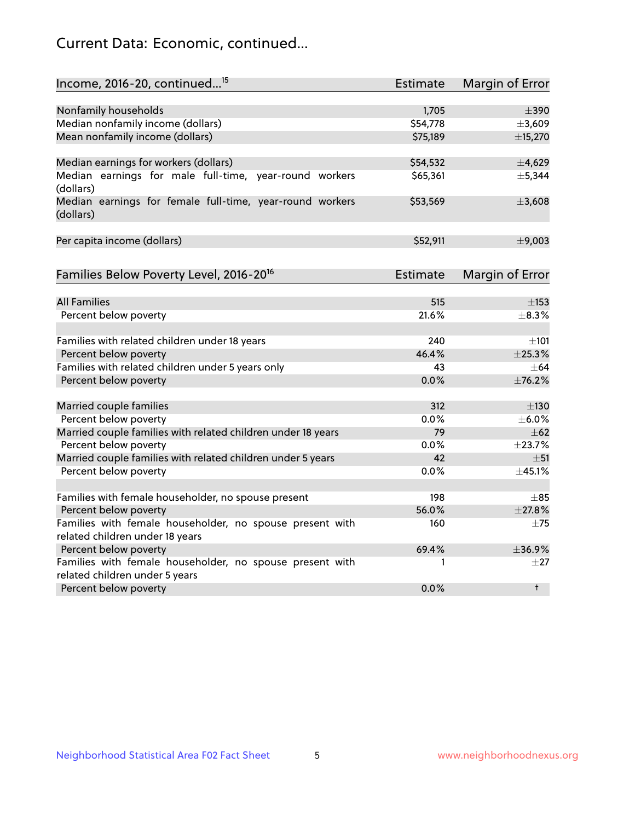# Current Data: Economic, continued...

| Income, 2016-20, continued <sup>15</sup>                                                   | <b>Estimate</b> | Margin of Error        |
|--------------------------------------------------------------------------------------------|-----------------|------------------------|
|                                                                                            |                 |                        |
| Nonfamily households                                                                       | 1,705           | $\pm$ 390              |
| Median nonfamily income (dollars)                                                          | \$54,778        | ±3,609                 |
| Mean nonfamily income (dollars)                                                            | \$75,189        | ±15,270                |
| Median earnings for workers (dollars)                                                      | \$54,532        | ±4,629                 |
| Median earnings for male full-time, year-round workers                                     | \$65,361        | ±5,344                 |
| (dollars)                                                                                  |                 |                        |
| Median earnings for female full-time, year-round workers<br>(dollars)                      | \$53,569        | ±3,608                 |
| Per capita income (dollars)                                                                | \$52,911        | ±9,003                 |
|                                                                                            |                 |                        |
| Families Below Poverty Level, 2016-20 <sup>16</sup>                                        | <b>Estimate</b> | <b>Margin of Error</b> |
| <b>All Families</b>                                                                        | 515             | $\pm$ 153              |
| Percent below poverty                                                                      | 21.6%           | ±8.3%                  |
|                                                                                            |                 |                        |
| Families with related children under 18 years                                              | 240             | $\pm 101$              |
| Percent below poverty                                                                      | 46.4%           | ±25.3%                 |
| Families with related children under 5 years only                                          | 43              | $\pm$ 64               |
| Percent below poverty                                                                      | 0.0%            | ±76.2%                 |
| Married couple families                                                                    | 312             | $\pm$ 130              |
| Percent below poverty                                                                      | 0.0%            | $\pm$ 6.0%             |
| Married couple families with related children under 18 years                               | 79              | $\pm$ 62               |
| Percent below poverty                                                                      | $0.0\%$         | ±23.7%                 |
| Married couple families with related children under 5 years                                | 42              | $\pm$ 51               |
| Percent below poverty                                                                      | $0.0\%$         | ±45.1%                 |
|                                                                                            |                 |                        |
| Families with female householder, no spouse present                                        | 198             | $\pm$ 85               |
| Percent below poverty                                                                      | 56.0%           | ±27.8%                 |
| Families with female householder, no spouse present with                                   | 160             | $\pm$ 75               |
| related children under 18 years                                                            |                 |                        |
| Percent below poverty                                                                      | 69.4%           | ±36.9%                 |
| Families with female householder, no spouse present with<br>related children under 5 years | 1               | $\pm 27$               |
|                                                                                            | 0.0%            | $^{\dagger}$           |
| Percent below poverty                                                                      |                 |                        |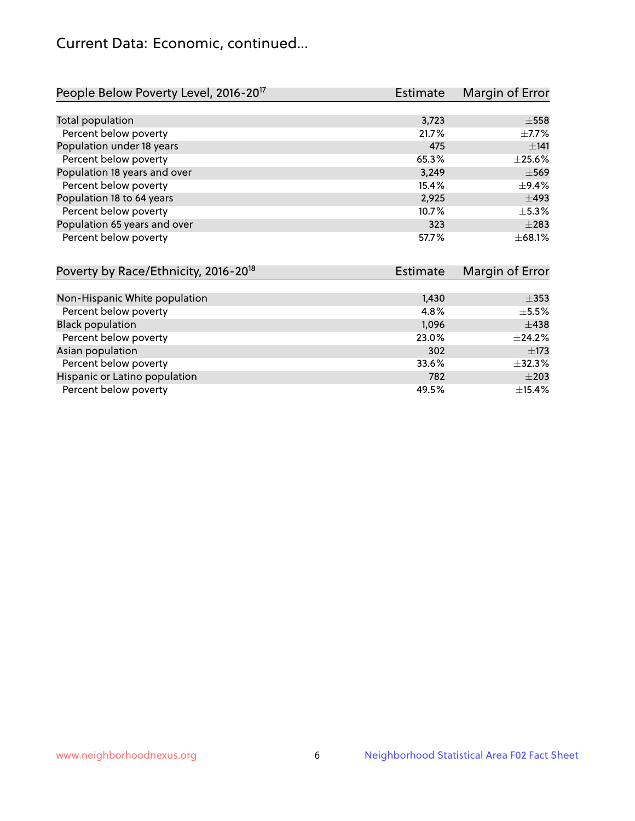# Current Data: Economic, continued...

| People Below Poverty Level, 2016-20 <sup>17</sup> | <b>Estimate</b> | Margin of Error |
|---------------------------------------------------|-----------------|-----------------|
|                                                   |                 |                 |
| Total population                                  | 3,723           | $\pm$ 558       |
| Percent below poverty                             | 21.7%           | $\pm$ 7.7%      |
| Population under 18 years                         | 475             | ±141            |
| Percent below poverty                             | 65.3%           | $\pm 25.6\%$    |
| Population 18 years and over                      | 3,249           | $\pm$ 569       |
| Percent below poverty                             | 15.4%           | $\pm$ 9.4%      |
| Population 18 to 64 years                         | 2,925           | $\pm$ 493       |
| Percent below poverty                             | 10.7%           | $\pm$ 5.3%      |
| Population 65 years and over                      | 323             | $\pm 283$       |
| Percent below poverty                             | 57.7%           | ±68.1%          |

| Poverty by Race/Ethnicity, 2016-20 <sup>18</sup> | <b>Estimate</b> | Margin of Error |
|--------------------------------------------------|-----------------|-----------------|
|                                                  |                 |                 |
| Non-Hispanic White population                    | 1,430           | $\pm$ 353       |
| Percent below poverty                            | 4.8%            | $\pm$ 5.5%      |
| <b>Black population</b>                          | 1,096           | $\pm$ 438       |
| Percent below poverty                            | 23.0%           | $\pm$ 24.2%     |
| Asian population                                 | 302             | $\pm$ 173       |
| Percent below poverty                            | 33.6%           | ±32.3%          |
| Hispanic or Latino population                    | 782             | $\pm 203$       |
| Percent below poverty                            | 49.5%           | ±15.4%          |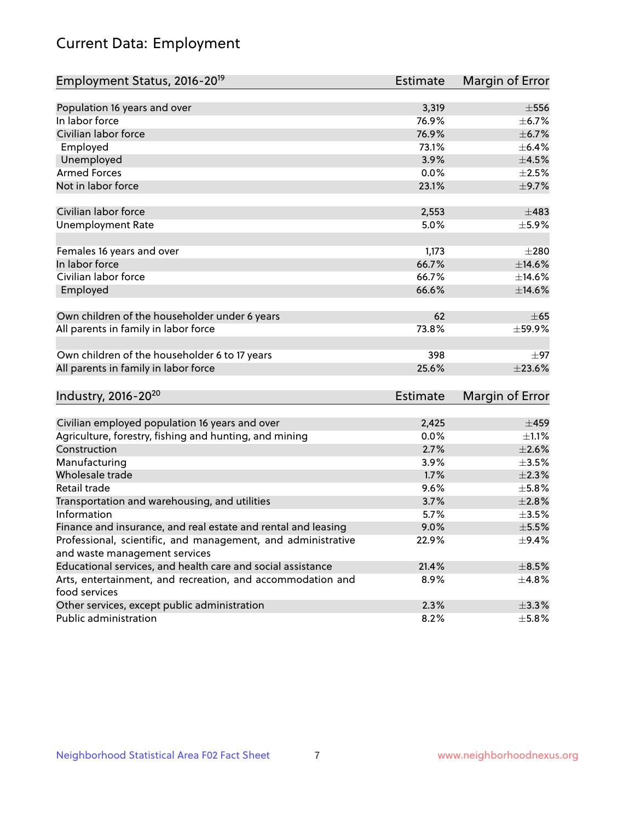# Current Data: Employment

| $\pm$ 556<br>Population 16 years and over<br>3,319<br>In labor force<br>76.9%<br>$\pm$ 6.7%<br>Civilian labor force<br>76.9%<br>$\pm$ 6.7%<br>Employed<br>73.1%<br>$\pm$ 6.4%<br>3.9%<br>$\pm$ 4.5%<br>Unemployed<br><b>Armed Forces</b><br>0.0%<br>$\pm 2.5\%$<br>Not in labor force<br>23.1%<br>$\pm$ 9.7%<br>Civilian labor force<br>2,553<br>$\pm 483$<br><b>Unemployment Rate</b><br>5.0%<br>$\pm$ 5.9%<br>Females 16 years and over<br>1,173<br>$\pm 280$<br>In labor force<br>66.7%<br>$\pm$ 14.6%<br>Civilian labor force<br>66.7%<br>±14.6% |
|------------------------------------------------------------------------------------------------------------------------------------------------------------------------------------------------------------------------------------------------------------------------------------------------------------------------------------------------------------------------------------------------------------------------------------------------------------------------------------------------------------------------------------------------------|
|                                                                                                                                                                                                                                                                                                                                                                                                                                                                                                                                                      |
|                                                                                                                                                                                                                                                                                                                                                                                                                                                                                                                                                      |
|                                                                                                                                                                                                                                                                                                                                                                                                                                                                                                                                                      |
|                                                                                                                                                                                                                                                                                                                                                                                                                                                                                                                                                      |
|                                                                                                                                                                                                                                                                                                                                                                                                                                                                                                                                                      |
|                                                                                                                                                                                                                                                                                                                                                                                                                                                                                                                                                      |
|                                                                                                                                                                                                                                                                                                                                                                                                                                                                                                                                                      |
|                                                                                                                                                                                                                                                                                                                                                                                                                                                                                                                                                      |
|                                                                                                                                                                                                                                                                                                                                                                                                                                                                                                                                                      |
|                                                                                                                                                                                                                                                                                                                                                                                                                                                                                                                                                      |
|                                                                                                                                                                                                                                                                                                                                                                                                                                                                                                                                                      |
|                                                                                                                                                                                                                                                                                                                                                                                                                                                                                                                                                      |
|                                                                                                                                                                                                                                                                                                                                                                                                                                                                                                                                                      |
|                                                                                                                                                                                                                                                                                                                                                                                                                                                                                                                                                      |
| 66.6%<br>$\pm$ 14.6%<br>Employed                                                                                                                                                                                                                                                                                                                                                                                                                                                                                                                     |
|                                                                                                                                                                                                                                                                                                                                                                                                                                                                                                                                                      |
| Own children of the householder under 6 years<br>62<br>$\pm 65$                                                                                                                                                                                                                                                                                                                                                                                                                                                                                      |
| 73.8%<br>±59.9%<br>All parents in family in labor force                                                                                                                                                                                                                                                                                                                                                                                                                                                                                              |
| Own children of the householder 6 to 17 years<br>398<br>$\pm$ 97                                                                                                                                                                                                                                                                                                                                                                                                                                                                                     |
| All parents in family in labor force<br>25.6%<br>±23.6%                                                                                                                                                                                                                                                                                                                                                                                                                                                                                              |
|                                                                                                                                                                                                                                                                                                                                                                                                                                                                                                                                                      |
| Industry, 2016-20 <sup>20</sup><br>Margin of Error<br><b>Estimate</b>                                                                                                                                                                                                                                                                                                                                                                                                                                                                                |
|                                                                                                                                                                                                                                                                                                                                                                                                                                                                                                                                                      |
| Civilian employed population 16 years and over<br>2,425<br>$\pm 459$                                                                                                                                                                                                                                                                                                                                                                                                                                                                                 |
| Agriculture, forestry, fishing and hunting, and mining<br>0.0%<br>$\pm 1.1\%$                                                                                                                                                                                                                                                                                                                                                                                                                                                                        |
| Construction<br>2.7%<br>$\pm 2.6\%$                                                                                                                                                                                                                                                                                                                                                                                                                                                                                                                  |
| Manufacturing<br>3.9%<br>$\pm 3.5\%$                                                                                                                                                                                                                                                                                                                                                                                                                                                                                                                 |
| Wholesale trade<br>1.7%<br>$\pm 2.3\%$                                                                                                                                                                                                                                                                                                                                                                                                                                                                                                               |
| Retail trade<br>9.6%<br>$\pm$ 5.8%                                                                                                                                                                                                                                                                                                                                                                                                                                                                                                                   |
| ±2.8%<br>Transportation and warehousing, and utilities<br>3.7%                                                                                                                                                                                                                                                                                                                                                                                                                                                                                       |
| Information<br>5.7%<br>$\pm$ 3.5%                                                                                                                                                                                                                                                                                                                                                                                                                                                                                                                    |
| Finance and insurance, and real estate and rental and leasing<br>9.0%<br>$\pm$ 5.5%                                                                                                                                                                                                                                                                                                                                                                                                                                                                  |
| Professional, scientific, and management, and administrative<br>22.9%<br>$\pm$ 9.4%                                                                                                                                                                                                                                                                                                                                                                                                                                                                  |
| and waste management services                                                                                                                                                                                                                                                                                                                                                                                                                                                                                                                        |
| Educational services, and health care and social assistance<br>21.4%<br>$\pm$ 8.5%                                                                                                                                                                                                                                                                                                                                                                                                                                                                   |
| Arts, entertainment, and recreation, and accommodation and<br>8.9%<br>$\pm$ 4.8%<br>food services                                                                                                                                                                                                                                                                                                                                                                                                                                                    |
| Other services, except public administration<br>2.3%<br>$\pm$ 3.3%                                                                                                                                                                                                                                                                                                                                                                                                                                                                                   |
| Public administration<br>8.2%<br>±5.8%                                                                                                                                                                                                                                                                                                                                                                                                                                                                                                               |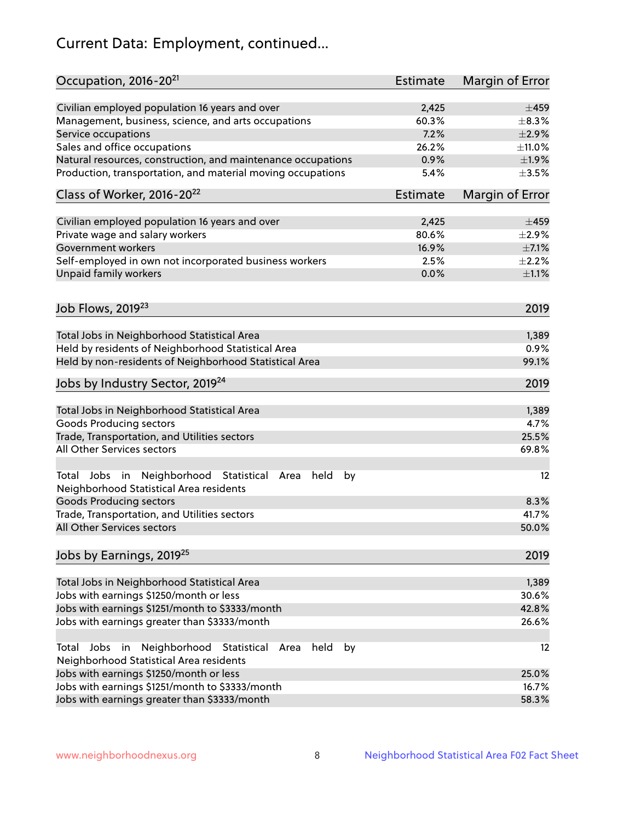# Current Data: Employment, continued...

| Civilian employed population 16 years and over<br>$\pm$ 459<br>2,425<br>60.3%<br>Management, business, science, and arts occupations<br>$\pm$ 8.3%<br>7.2%<br>±2.9%<br>Service occupations<br>Sales and office occupations<br>26.2%<br>$\pm$ 11.0%<br>0.9%<br>Natural resources, construction, and maintenance occupations<br>±1.9%<br>Production, transportation, and material moving occupations<br>5.4%<br>$\pm$ 3.5%<br>Class of Worker, 2016-20 <sup>22</sup><br>Estimate<br>Margin of Error<br>Civilian employed population 16 years and over<br>2,425<br>$\pm$ 459<br>Private wage and salary workers<br>80.6%<br>$\pm 2.9\%$<br>Government workers<br>16.9%<br>$\pm$ 7.1%<br>Self-employed in own not incorporated business workers<br>2.5%<br>$\pm 2.2\%$<br>Unpaid family workers<br>0.0%<br>$\pm 1.1\%$ |
|--------------------------------------------------------------------------------------------------------------------------------------------------------------------------------------------------------------------------------------------------------------------------------------------------------------------------------------------------------------------------------------------------------------------------------------------------------------------------------------------------------------------------------------------------------------------------------------------------------------------------------------------------------------------------------------------------------------------------------------------------------------------------------------------------------------------|
|                                                                                                                                                                                                                                                                                                                                                                                                                                                                                                                                                                                                                                                                                                                                                                                                                    |
|                                                                                                                                                                                                                                                                                                                                                                                                                                                                                                                                                                                                                                                                                                                                                                                                                    |
|                                                                                                                                                                                                                                                                                                                                                                                                                                                                                                                                                                                                                                                                                                                                                                                                                    |
|                                                                                                                                                                                                                                                                                                                                                                                                                                                                                                                                                                                                                                                                                                                                                                                                                    |
|                                                                                                                                                                                                                                                                                                                                                                                                                                                                                                                                                                                                                                                                                                                                                                                                                    |
|                                                                                                                                                                                                                                                                                                                                                                                                                                                                                                                                                                                                                                                                                                                                                                                                                    |
|                                                                                                                                                                                                                                                                                                                                                                                                                                                                                                                                                                                                                                                                                                                                                                                                                    |
|                                                                                                                                                                                                                                                                                                                                                                                                                                                                                                                                                                                                                                                                                                                                                                                                                    |
|                                                                                                                                                                                                                                                                                                                                                                                                                                                                                                                                                                                                                                                                                                                                                                                                                    |
|                                                                                                                                                                                                                                                                                                                                                                                                                                                                                                                                                                                                                                                                                                                                                                                                                    |
|                                                                                                                                                                                                                                                                                                                                                                                                                                                                                                                                                                                                                                                                                                                                                                                                                    |
|                                                                                                                                                                                                                                                                                                                                                                                                                                                                                                                                                                                                                                                                                                                                                                                                                    |
|                                                                                                                                                                                                                                                                                                                                                                                                                                                                                                                                                                                                                                                                                                                                                                                                                    |
| Job Flows, 2019 <sup>23</sup><br>2019                                                                                                                                                                                                                                                                                                                                                                                                                                                                                                                                                                                                                                                                                                                                                                              |
| Total Jobs in Neighborhood Statistical Area<br>1,389                                                                                                                                                                                                                                                                                                                                                                                                                                                                                                                                                                                                                                                                                                                                                               |
| Held by residents of Neighborhood Statistical Area<br>0.9%                                                                                                                                                                                                                                                                                                                                                                                                                                                                                                                                                                                                                                                                                                                                                         |
| Held by non-residents of Neighborhood Statistical Area<br>99.1%                                                                                                                                                                                                                                                                                                                                                                                                                                                                                                                                                                                                                                                                                                                                                    |
| Jobs by Industry Sector, 2019 <sup>24</sup><br>2019                                                                                                                                                                                                                                                                                                                                                                                                                                                                                                                                                                                                                                                                                                                                                                |
| Total Jobs in Neighborhood Statistical Area<br>1,389                                                                                                                                                                                                                                                                                                                                                                                                                                                                                                                                                                                                                                                                                                                                                               |
| <b>Goods Producing sectors</b><br>4.7%                                                                                                                                                                                                                                                                                                                                                                                                                                                                                                                                                                                                                                                                                                                                                                             |
| Trade, Transportation, and Utilities sectors<br>25.5%                                                                                                                                                                                                                                                                                                                                                                                                                                                                                                                                                                                                                                                                                                                                                              |
| All Other Services sectors<br>69.8%                                                                                                                                                                                                                                                                                                                                                                                                                                                                                                                                                                                                                                                                                                                                                                                |
| Total Jobs in Neighborhood Statistical<br>held<br>by<br>12<br>Area<br>Neighborhood Statistical Area residents                                                                                                                                                                                                                                                                                                                                                                                                                                                                                                                                                                                                                                                                                                      |
| <b>Goods Producing sectors</b><br>8.3%                                                                                                                                                                                                                                                                                                                                                                                                                                                                                                                                                                                                                                                                                                                                                                             |
| Trade, Transportation, and Utilities sectors<br>41.7%                                                                                                                                                                                                                                                                                                                                                                                                                                                                                                                                                                                                                                                                                                                                                              |
| All Other Services sectors<br>50.0%                                                                                                                                                                                                                                                                                                                                                                                                                                                                                                                                                                                                                                                                                                                                                                                |
| Jobs by Earnings, 2019 <sup>25</sup><br>2019                                                                                                                                                                                                                                                                                                                                                                                                                                                                                                                                                                                                                                                                                                                                                                       |
| Total Jobs in Neighborhood Statistical Area<br>1,389                                                                                                                                                                                                                                                                                                                                                                                                                                                                                                                                                                                                                                                                                                                                                               |
| 30.6%<br>Jobs with earnings \$1250/month or less                                                                                                                                                                                                                                                                                                                                                                                                                                                                                                                                                                                                                                                                                                                                                                   |
| Jobs with earnings \$1251/month to \$3333/month<br>42.8%                                                                                                                                                                                                                                                                                                                                                                                                                                                                                                                                                                                                                                                                                                                                                           |
| Jobs with earnings greater than \$3333/month<br>26.6%                                                                                                                                                                                                                                                                                                                                                                                                                                                                                                                                                                                                                                                                                                                                                              |
| Neighborhood Statistical<br>Jobs<br>in<br>held<br>by<br>12<br>Total<br>Area                                                                                                                                                                                                                                                                                                                                                                                                                                                                                                                                                                                                                                                                                                                                        |
| Neighborhood Statistical Area residents                                                                                                                                                                                                                                                                                                                                                                                                                                                                                                                                                                                                                                                                                                                                                                            |
| Jobs with earnings \$1250/month or less<br>25.0%                                                                                                                                                                                                                                                                                                                                                                                                                                                                                                                                                                                                                                                                                                                                                                   |
| Jobs with earnings \$1251/month to \$3333/month<br>16.7%                                                                                                                                                                                                                                                                                                                                                                                                                                                                                                                                                                                                                                                                                                                                                           |
| Jobs with earnings greater than \$3333/month<br>58.3%                                                                                                                                                                                                                                                                                                                                                                                                                                                                                                                                                                                                                                                                                                                                                              |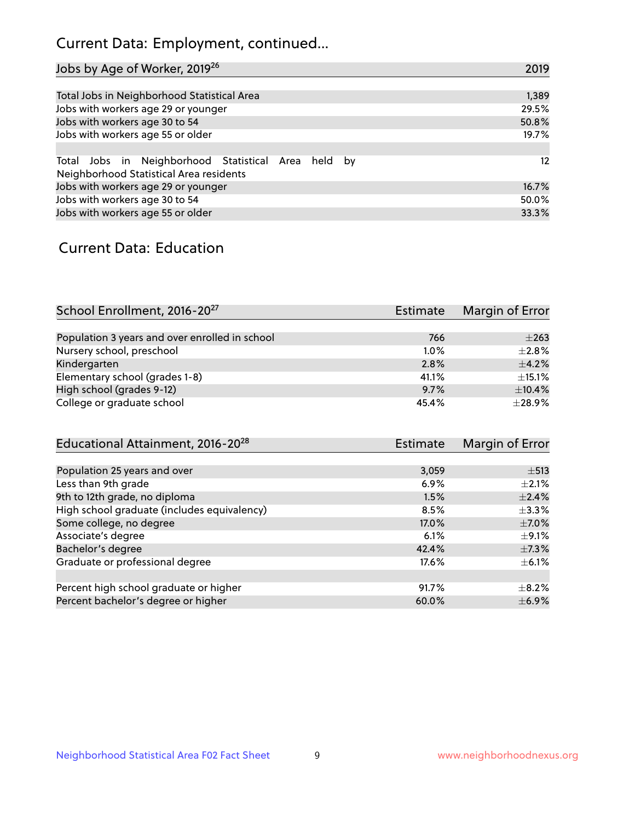# Current Data: Employment, continued...

| Jobs by Age of Worker, 2019 <sup>26</sup>                                                      | 2019  |
|------------------------------------------------------------------------------------------------|-------|
|                                                                                                |       |
| Total Jobs in Neighborhood Statistical Area                                                    | 1,389 |
| Jobs with workers age 29 or younger                                                            | 29.5% |
| Jobs with workers age 30 to 54                                                                 | 50.8% |
| Jobs with workers age 55 or older                                                              | 19.7% |
|                                                                                                |       |
| Total Jobs in Neighborhood Statistical Area held by<br>Neighborhood Statistical Area residents | 12    |
| Jobs with workers age 29 or younger                                                            | 16.7% |
| Jobs with workers age 30 to 54                                                                 | 50.0% |
| Jobs with workers age 55 or older                                                              | 33.3% |

### Current Data: Education

| School Enrollment, 2016-20 <sup>27</sup>       | Estimate | Margin of Error |
|------------------------------------------------|----------|-----------------|
|                                                |          |                 |
| Population 3 years and over enrolled in school | 766      | $\pm 263$       |
| Nursery school, preschool                      | 1.0%     | $+2.8%$         |
| Kindergarten                                   | 2.8%     | $\pm$ 4.2%      |
| Elementary school (grades 1-8)                 | 41.1%    | $\pm$ 15.1%     |
| High school (grades 9-12)                      | 9.7%     | $\pm$ 10.4%     |
| College or graduate school                     | 45.4%    | ±28.9%          |

| Estimate | Margin of Error |
|----------|-----------------|
|          |                 |
| 3,059    | $\pm$ 513       |
| 6.9%     | $\pm 2.1\%$     |
| 1.5%     | $\pm$ 2.4%      |
| 8.5%     | $\pm$ 3.3%      |
| 17.0%    | $\pm$ 7.0%      |
| 6.1%     | $\pm$ 9.1%      |
| 42.4%    | $\pm$ 7.3%      |
| 17.6%    | $\pm$ 6.1%      |
|          |                 |
| 91.7%    | $+8.2%$         |
| 60.0%    | $\pm$ 6.9%      |
|          |                 |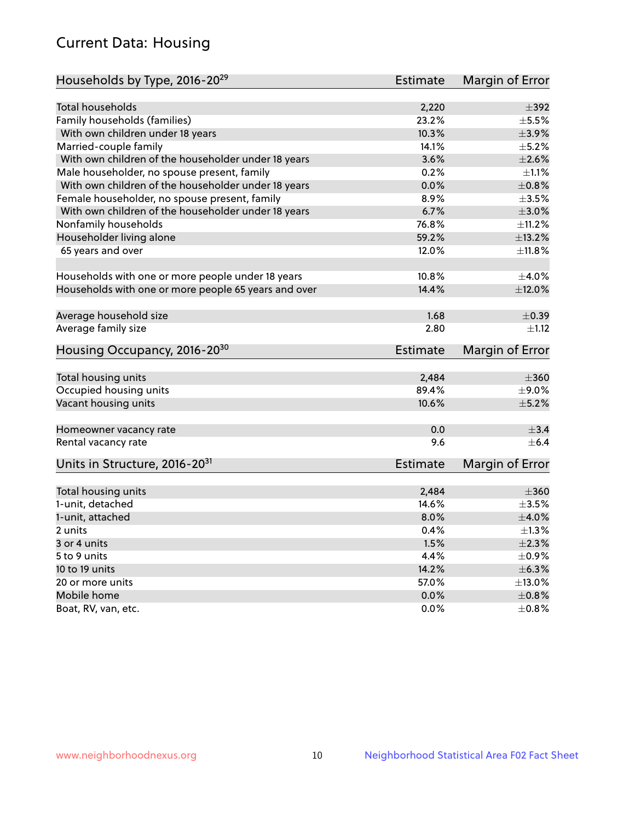# Current Data: Housing

| Households by Type, 2016-20 <sup>29</sup>            | <b>Estimate</b> | Margin of Error |
|------------------------------------------------------|-----------------|-----------------|
|                                                      |                 |                 |
| Total households                                     | 2,220           | $\pm$ 392       |
| Family households (families)                         | 23.2%           | $\pm$ 5.5%      |
| With own children under 18 years                     | 10.3%           | $\pm$ 3.9%      |
| Married-couple family                                | 14.1%           | $\pm$ 5.2%      |
| With own children of the householder under 18 years  | 3.6%            | $\pm 2.6\%$     |
| Male householder, no spouse present, family          | 0.2%            | $\pm 1.1\%$     |
| With own children of the householder under 18 years  | 0.0%            | $\pm 0.8\%$     |
| Female householder, no spouse present, family        | 8.9%            | $\pm 3.5\%$     |
| With own children of the householder under 18 years  | 6.7%            | $\pm 3.0\%$     |
| Nonfamily households                                 | 76.8%           | ±11.2%          |
| Householder living alone                             | 59.2%           | ±13.2%          |
| 65 years and over                                    | 12.0%           | $\pm$ 11.8%     |
|                                                      |                 |                 |
| Households with one or more people under 18 years    | 10.8%           | $\pm 4.0\%$     |
| Households with one or more people 65 years and over | 14.4%           | $\pm$ 12.0%     |
|                                                      |                 |                 |
| Average household size                               | 1.68            | $\pm$ 0.39      |
| Average family size                                  | 2.80            | ±1.12           |
| Housing Occupancy, 2016-20 <sup>30</sup>             | <b>Estimate</b> | Margin of Error |
|                                                      |                 |                 |
| Total housing units                                  | 2,484           | $\pm 360$       |
| Occupied housing units                               | 89.4%           | $\pm$ 9.0%      |
| Vacant housing units                                 | 10.6%           | $\pm$ 5.2%      |
| Homeowner vacancy rate                               | 0.0             | $\pm$ 3.4       |
| Rental vacancy rate                                  | 9.6             | $+6.4$          |
| Units in Structure, 2016-20 <sup>31</sup>            | Estimate        | Margin of Error |
|                                                      |                 |                 |
| Total housing units                                  | 2,484           | $\pm 360$       |
| 1-unit, detached                                     | 14.6%           | $\pm 3.5\%$     |
| 1-unit, attached                                     | 8.0%            | $\pm 4.0\%$     |
| 2 units                                              | 0.4%            | $\pm 1.3\%$     |
| 3 or 4 units                                         | 1.5%            | $\pm 2.3\%$     |
| 5 to 9 units                                         | 4.4%            | $\pm$ 0.9%      |
| 10 to 19 units                                       | 14.2%           | ±6.3%           |
| 20 or more units                                     | 57.0%           | ±13.0%          |
| Mobile home                                          | 0.0%            | $\pm 0.8\%$     |
| Boat, RV, van, etc.                                  | $0.0\%$         | $\pm$ 0.8%      |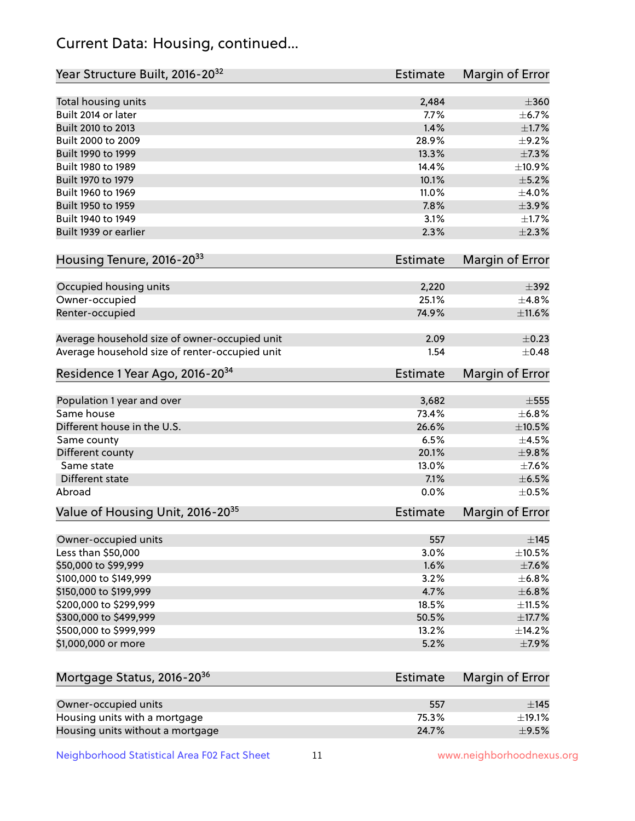# Current Data: Housing, continued...

| Year Structure Built, 2016-20 <sup>32</sup>    | <b>Estimate</b> | Margin of Error |
|------------------------------------------------|-----------------|-----------------|
| Total housing units                            | 2,484           | $\pm 360$       |
| Built 2014 or later                            | 7.7%            | $\pm$ 6.7%      |
| Built 2010 to 2013                             | 1.4%            | $\pm1.7\%$      |
| Built 2000 to 2009                             | 28.9%           | ±9.2%           |
| Built 1990 to 1999                             | 13.3%           | ±7.3%           |
| Built 1980 to 1989                             | 14.4%           | ±10.9%          |
| Built 1970 to 1979                             | 10.1%           | $\pm$ 5.2%      |
| Built 1960 to 1969                             | 11.0%           | $\pm 4.0\%$     |
| Built 1950 to 1959                             | 7.8%            | $\pm$ 3.9%      |
| Built 1940 to 1949                             | 3.1%            | $\pm 1.7\%$     |
| Built 1939 or earlier                          | 2.3%            | $\pm 2.3\%$     |
| Housing Tenure, 2016-2033                      | <b>Estimate</b> | Margin of Error |
| Occupied housing units                         | 2,220           | $\pm$ 392       |
| Owner-occupied                                 | 25.1%           | ±4.8%           |
| Renter-occupied                                | 74.9%           | ±11.6%          |
| Average household size of owner-occupied unit  | 2.09            | $\pm$ 0.23      |
| Average household size of renter-occupied unit | 1.54            | $+0.48$         |
| Residence 1 Year Ago, 2016-20 <sup>34</sup>    | <b>Estimate</b> | Margin of Error |
|                                                |                 |                 |
| Population 1 year and over                     | 3,682           | $\pm$ 555       |
| Same house                                     | 73.4%           | ±6.8%           |
| Different house in the U.S.                    | 26.6%           | $\pm 10.5\%$    |
| Same county                                    | 6.5%            | $\pm 4.5\%$     |
| Different county                               | 20.1%           | ±9.8%           |
| Same state                                     | 13.0%           | $\pm$ 7.6%      |
| Different state                                | 7.1%            | ±6.5%           |
| Abroad                                         | 0.0%            | $\pm$ 0.5%      |
| Value of Housing Unit, 2016-20 <sup>35</sup>   | <b>Estimate</b> | Margin of Error |
| Owner-occupied units                           | 557             | $\pm$ 145       |
| Less than \$50,000                             | 3.0%            | $\pm$ 10.5%     |
| \$50,000 to \$99,999                           | 1.6%            | $\pm$ 7.6%      |
| \$100,000 to \$149,999                         | 3.2%            | $\pm$ 6.8%      |
| \$150,000 to \$199,999                         | 4.7%            | ±6.8%           |
| \$200,000 to \$299,999                         | 18.5%           | $\pm$ 11.5%     |
| \$300,000 to \$499,999                         | 50.5%           | $\pm$ 17.7%     |
| \$500,000 to \$999,999                         | 13.2%           | ±14.2%          |
| \$1,000,000 or more                            | 5.2%            | $\pm$ 7.9%      |
| Mortgage Status, 2016-20 <sup>36</sup>         | <b>Estimate</b> | Margin of Error |
|                                                |                 |                 |
| Owner-occupied units                           | 557             | $\pm$ 145       |
| Housing units with a mortgage                  | 75.3%           | $\pm$ 19.1%     |
| Housing units without a mortgage               | 24.7%           | $\pm$ 9.5%      |

Neighborhood Statistical Area F02 Fact Sheet 11 11 www.neighborhoodnexus.org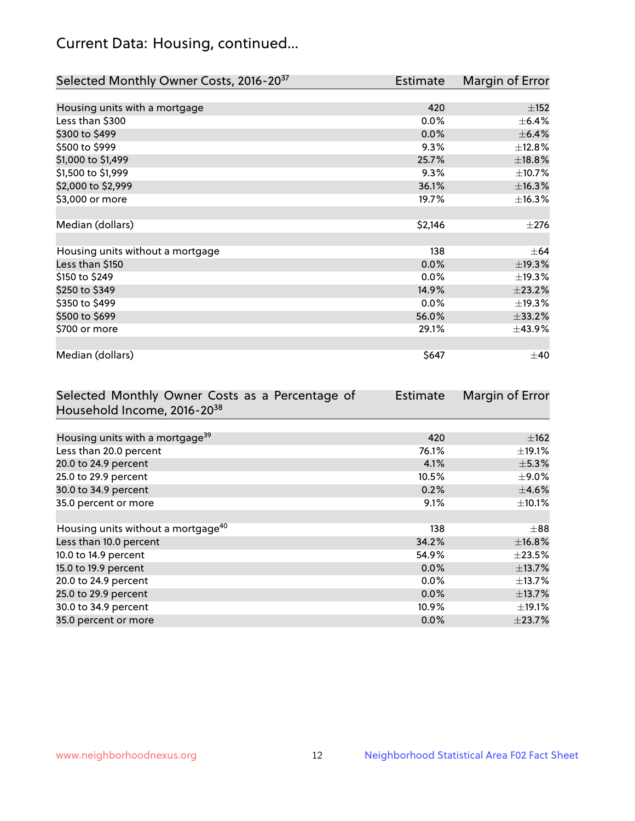# Current Data: Housing, continued...

| Selected Monthly Owner Costs, 2016-20 <sup>37</sup> | Estimate | Margin of Error |
|-----------------------------------------------------|----------|-----------------|
|                                                     |          |                 |
| Housing units with a mortgage                       | 420      | $\pm$ 152       |
| Less than \$300                                     | 0.0%     | $\pm$ 6.4%      |
| \$300 to \$499                                      | 0.0%     | $\pm$ 6.4%      |
| \$500 to \$999                                      | 9.3%     | ±12.8%          |
| \$1,000 to \$1,499                                  | 25.7%    | ±18.8%          |
| \$1,500 to \$1,999                                  | 9.3%     | ±10.7%          |
| \$2,000 to \$2,999                                  | 36.1%    | ±16.3%          |
| \$3,000 or more                                     | 19.7%    | ±16.3%          |
|                                                     |          |                 |
| Median (dollars)                                    | \$2,146  | ±276            |
|                                                     |          |                 |
| Housing units without a mortgage                    | 138      | $\pm$ 64        |
| Less than \$150                                     | 0.0%     | ±19.3%          |
| \$150 to \$249                                      | 0.0%     | ±19.3%          |
| \$250 to \$349                                      | 14.9%    | ±23.2%          |
| \$350 to \$499                                      | 0.0%     | ±19.3%          |
| \$500 to \$699                                      | 56.0%    | $\pm 33.2\%$    |
| \$700 or more                                       | 29.1%    | ±43.9%          |
|                                                     |          |                 |
| Median (dollars)                                    | \$647    | $\pm 40$        |

| Selected Monthly Owner Costs as a Percentage of | <b>Estimate</b> | Margin of Error |
|-------------------------------------------------|-----------------|-----------------|
| Household Income, 2016-20 <sup>38</sup>         |                 |                 |
|                                                 |                 |                 |
| Housing units with a mortgage <sup>39</sup>     | 420             | $\pm$ 162       |
| Less than 20.0 percent                          | 76.1%           | $\pm$ 19.1%     |
| 20.0 to 24.9 percent                            | 4.1%            | $\pm$ 5.3%      |
| 25.0 to 29.9 percent                            | 10.5%           | $\pm$ 9.0%      |
| 30.0 to 34.9 percent                            | 0.2%            | $\pm$ 4.6%      |
| 35.0 percent or more                            | 9.1%            | $\pm$ 10.1%     |
|                                                 |                 |                 |
| Housing units without a mortgage <sup>40</sup>  | 138             | $\pm 88$        |
| Less than 10.0 percent                          | 34.2%           | ±16.8%          |
| 10.0 to 14.9 percent                            | 54.9%           | $\pm 23.5\%$    |
| 15.0 to 19.9 percent                            | $0.0\%$         | $\pm$ 13.7%     |
| 20.0 to 24.9 percent                            | $0.0\%$         | $\pm$ 13.7%     |
| 25.0 to 29.9 percent                            | 0.0%            | ±13.7%          |
| 30.0 to 34.9 percent                            | 10.9%           | $\pm$ 19.1%     |
| 35.0 percent or more                            | $0.0\%$         | $\pm 23.7\%$    |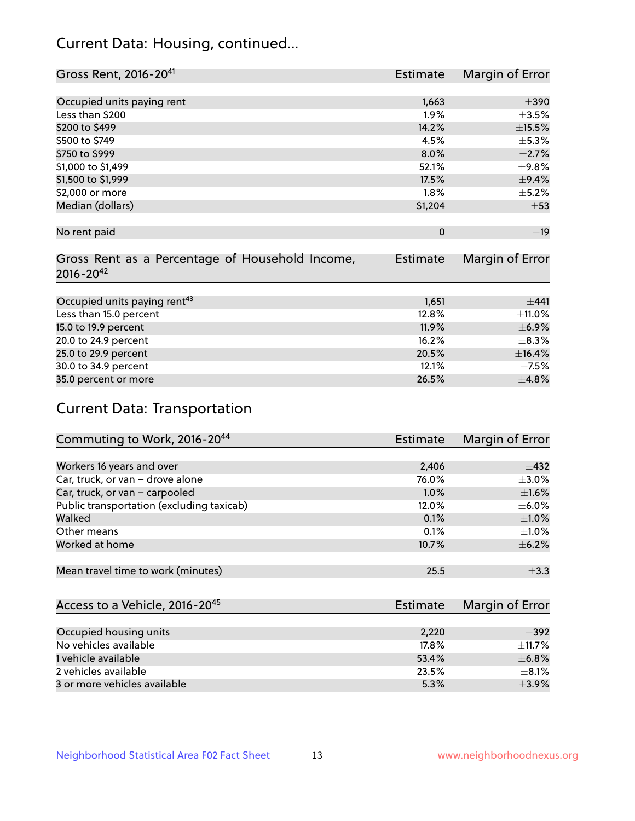# Current Data: Housing, continued...

| Gross Rent, 2016-20 <sup>41</sup>               | Estimate        | Margin of Error |
|-------------------------------------------------|-----------------|-----------------|
|                                                 |                 |                 |
| Occupied units paying rent                      | 1,663           | $\pm 390$       |
| Less than \$200                                 | 1.9%            | $\pm 3.5\%$     |
| \$200 to \$499                                  | 14.2%           | $\pm$ 15.5%     |
| \$500 to \$749                                  | 4.5%            | $\pm$ 5.3%      |
| \$750 to \$999                                  | 8.0%            | $\pm 2.7\%$     |
| \$1,000 to \$1,499                              | 52.1%           | $\pm$ 9.8%      |
| \$1,500 to \$1,999                              | 17.5%           | $\pm$ 9.4%      |
| \$2,000 or more                                 | 1.8%            | $\pm$ 5.2%      |
| Median (dollars)                                | \$1,204         | $\pm 53$        |
|                                                 |                 |                 |
| No rent paid                                    | $\Omega$        | ±19             |
|                                                 |                 |                 |
| Gross Rent as a Percentage of Household Income, | <b>Estimate</b> | Margin of Error |
| $2016 - 20^{42}$                                |                 |                 |
|                                                 |                 |                 |
| Occupied units paying rent <sup>43</sup>        | 1,651           | $+441$          |
| Less than 15.0 percent                          | 12.8%           | ±11.0%          |
| 15.0 to 19.9 percent                            | 11.9%           | $\pm$ 6.9%      |
| 20.0 to 24.9 percent                            | 16.2%           | $\pm$ 8.3%      |
| 25.0 to 29.9 percent                            | 20.5%           | $\pm$ 16.4%     |
| 30.0 to 34.9 percent                            | 12.1%           | $\pm$ 7.5%      |
| 35.0 percent or more                            | 26.5%           | $\pm$ 4.8%      |

# Current Data: Transportation

| Commuting to Work, 2016-20 <sup>44</sup>  | Estimate | Margin of Error |
|-------------------------------------------|----------|-----------------|
|                                           |          |                 |
| Workers 16 years and over                 | 2,406    | $\pm$ 432       |
| Car, truck, or van - drove alone          | 76.0%    | $\pm$ 3.0%      |
| Car, truck, or van - carpooled            | 1.0%     | $\pm1.6\%$      |
| Public transportation (excluding taxicab) | 12.0%    | $\pm$ 6.0%      |
| Walked                                    | 0.1%     | $\pm1.0\%$      |
| Other means                               | 0.1%     | $\pm 1.0\%$     |
| Worked at home                            | 10.7%    | $\pm$ 6.2%      |
|                                           |          |                 |
| Mean travel time to work (minutes)        | 25.5     | $\pm$ 3.3       |

| Access to a Vehicle, 2016-20 <sup>45</sup> | Estimate | Margin of Error |
|--------------------------------------------|----------|-----------------|
|                                            |          |                 |
| Occupied housing units                     | 2,220    | $\pm$ 392       |
| No vehicles available                      | 17.8%    | $\pm$ 11.7%     |
| 1 vehicle available                        | 53.4%    | $\pm$ 6.8%      |
| 2 vehicles available                       | 23.5%    | $\pm$ 8.1%      |
| 3 or more vehicles available               | 5.3%     | $\pm$ 3.9%      |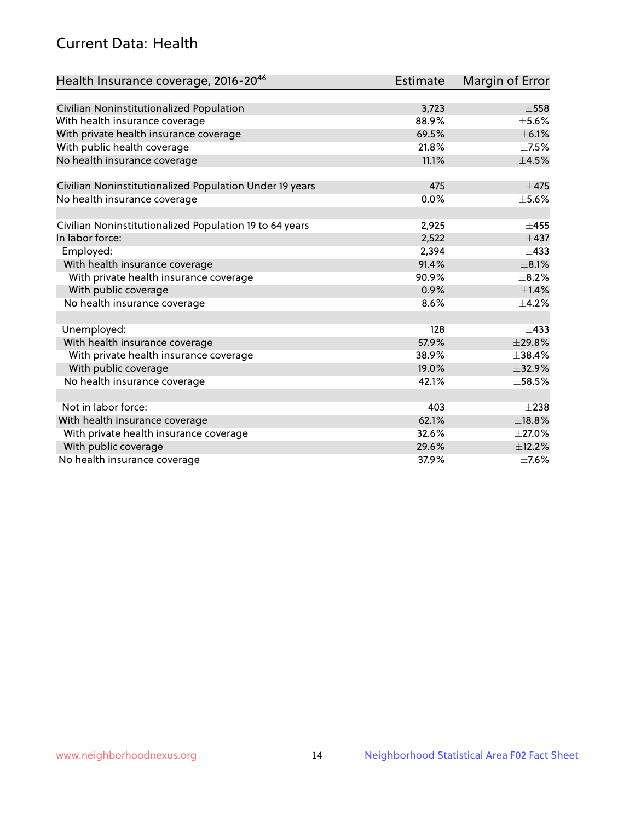# Current Data: Health

| Health Insurance coverage, 2016-2046                    | <b>Estimate</b> | Margin of Error |
|---------------------------------------------------------|-----------------|-----------------|
|                                                         |                 |                 |
| Civilian Noninstitutionalized Population                | 3,723           | $\pm$ 558       |
| With health insurance coverage                          | 88.9%           | $\pm$ 5.6%      |
| With private health insurance coverage                  | 69.5%           | $\pm$ 6.1%      |
| With public health coverage                             | 21.8%           | $\pm$ 7.5%      |
| No health insurance coverage                            | 11.1%           | $\pm 4.5\%$     |
| Civilian Noninstitutionalized Population Under 19 years | 475             | $\pm$ 475       |
| No health insurance coverage                            | 0.0%            | $\pm$ 5.6%      |
|                                                         |                 |                 |
| Civilian Noninstitutionalized Population 19 to 64 years | 2,925           | $\pm 455$       |
| In labor force:                                         | 2,522           | $\pm$ 437       |
| Employed:                                               | 2,394           | $\pm$ 433       |
| With health insurance coverage                          | 91.4%           | $\pm$ 8.1%      |
| With private health insurance coverage                  | 90.9%           | $\pm$ 8.2%      |
| With public coverage                                    | 0.9%            | $\pm$ 1.4%      |
| No health insurance coverage                            | 8.6%            | $\pm$ 4.2%      |
| Unemployed:                                             | 128             | $+433$          |
| With health insurance coverage                          | 57.9%           | ±29.8%          |
| With private health insurance coverage                  | 38.9%           | ±38.4%          |
| With public coverage                                    | 19.0%           | ±32.9%          |
| No health insurance coverage                            | 42.1%           | $\pm$ 58.5%     |
|                                                         |                 |                 |
| Not in labor force:                                     | 403             | $\pm 238$       |
| With health insurance coverage                          | 62.1%           | ±18.8%          |
| With private health insurance coverage                  | 32.6%           | $\pm 27.0\%$    |
| With public coverage                                    | 29.6%           | ±12.2%          |
| No health insurance coverage                            | 37.9%           | $\pm$ 7.6%      |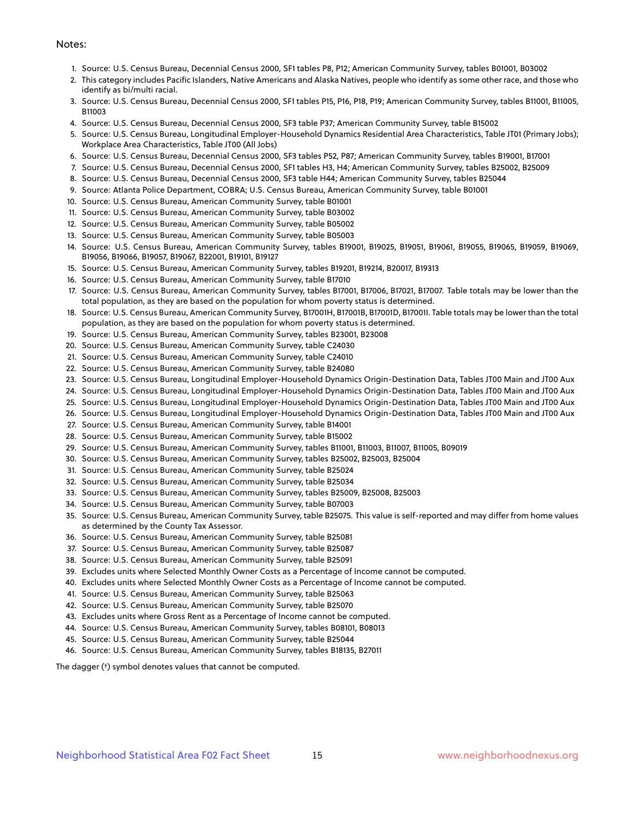#### Notes:

- 1. Source: U.S. Census Bureau, Decennial Census 2000, SF1 tables P8, P12; American Community Survey, tables B01001, B03002
- 2. This category includes Pacific Islanders, Native Americans and Alaska Natives, people who identify as some other race, and those who identify as bi/multi racial.
- 3. Source: U.S. Census Bureau, Decennial Census 2000, SF1 tables P15, P16, P18, P19; American Community Survey, tables B11001, B11005, B11003
- 4. Source: U.S. Census Bureau, Decennial Census 2000, SF3 table P37; American Community Survey, table B15002
- 5. Source: U.S. Census Bureau, Longitudinal Employer-Household Dynamics Residential Area Characteristics, Table JT01 (Primary Jobs); Workplace Area Characteristics, Table JT00 (All Jobs)
- 6. Source: U.S. Census Bureau, Decennial Census 2000, SF3 tables P52, P87; American Community Survey, tables B19001, B17001
- 7. Source: U.S. Census Bureau, Decennial Census 2000, SF1 tables H3, H4; American Community Survey, tables B25002, B25009
- 8. Source: U.S. Census Bureau, Decennial Census 2000, SF3 table H44; American Community Survey, tables B25044
- 9. Source: Atlanta Police Department, COBRA; U.S. Census Bureau, American Community Survey, table B01001
- 10. Source: U.S. Census Bureau, American Community Survey, table B01001
- 11. Source: U.S. Census Bureau, American Community Survey, table B03002
- 12. Source: U.S. Census Bureau, American Community Survey, table B05002
- 13. Source: U.S. Census Bureau, American Community Survey, table B05003
- 14. Source: U.S. Census Bureau, American Community Survey, tables B19001, B19025, B19051, B19061, B19055, B19065, B19059, B19069, B19056, B19066, B19057, B19067, B22001, B19101, B19127
- 15. Source: U.S. Census Bureau, American Community Survey, tables B19201, B19214, B20017, B19313
- 16. Source: U.S. Census Bureau, American Community Survey, table B17010
- 17. Source: U.S. Census Bureau, American Community Survey, tables B17001, B17006, B17021, B17007. Table totals may be lower than the total population, as they are based on the population for whom poverty status is determined.
- 18. Source: U.S. Census Bureau, American Community Survey, B17001H, B17001B, B17001D, B17001I. Table totals may be lower than the total population, as they are based on the population for whom poverty status is determined.
- 19. Source: U.S. Census Bureau, American Community Survey, tables B23001, B23008
- 20. Source: U.S. Census Bureau, American Community Survey, table C24030
- 21. Source: U.S. Census Bureau, American Community Survey, table C24010
- 22. Source: U.S. Census Bureau, American Community Survey, table B24080
- 23. Source: U.S. Census Bureau, Longitudinal Employer-Household Dynamics Origin-Destination Data, Tables JT00 Main and JT00 Aux
- 24. Source: U.S. Census Bureau, Longitudinal Employer-Household Dynamics Origin-Destination Data, Tables JT00 Main and JT00 Aux
- 25. Source: U.S. Census Bureau, Longitudinal Employer-Household Dynamics Origin-Destination Data, Tables JT00 Main and JT00 Aux
- 26. Source: U.S. Census Bureau, Longitudinal Employer-Household Dynamics Origin-Destination Data, Tables JT00 Main and JT00 Aux
- 27. Source: U.S. Census Bureau, American Community Survey, table B14001
- 28. Source: U.S. Census Bureau, American Community Survey, table B15002
- 29. Source: U.S. Census Bureau, American Community Survey, tables B11001, B11003, B11007, B11005, B09019
- 30. Source: U.S. Census Bureau, American Community Survey, tables B25002, B25003, B25004
- 31. Source: U.S. Census Bureau, American Community Survey, table B25024
- 32. Source: U.S. Census Bureau, American Community Survey, table B25034
- 33. Source: U.S. Census Bureau, American Community Survey, tables B25009, B25008, B25003
- 34. Source: U.S. Census Bureau, American Community Survey, table B07003
- 35. Source: U.S. Census Bureau, American Community Survey, table B25075. This value is self-reported and may differ from home values as determined by the County Tax Assessor.
- 36. Source: U.S. Census Bureau, American Community Survey, table B25081
- 37. Source: U.S. Census Bureau, American Community Survey, table B25087
- 38. Source: U.S. Census Bureau, American Community Survey, table B25091
- 39. Excludes units where Selected Monthly Owner Costs as a Percentage of Income cannot be computed.
- 40. Excludes units where Selected Monthly Owner Costs as a Percentage of Income cannot be computed.
- 41. Source: U.S. Census Bureau, American Community Survey, table B25063
- 42. Source: U.S. Census Bureau, American Community Survey, table B25070
- 43. Excludes units where Gross Rent as a Percentage of Income cannot be computed.
- 44. Source: U.S. Census Bureau, American Community Survey, tables B08101, B08013
- 45. Source: U.S. Census Bureau, American Community Survey, table B25044
- 46. Source: U.S. Census Bureau, American Community Survey, tables B18135, B27011

The dagger (†) symbol denotes values that cannot be computed.